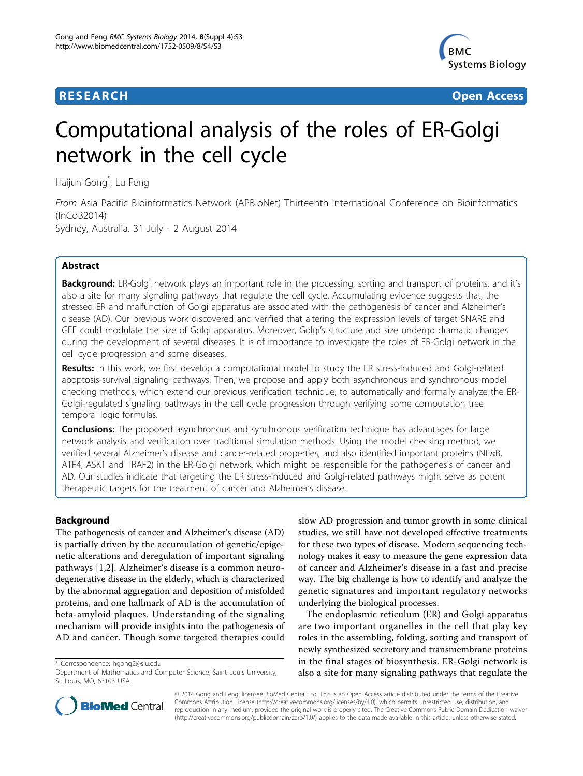

**RESEARCH CONTROL** CONTROL CONTROL CONTROL CONTROL CONTROL CONTROL CONTROL CONTROL CONTROL CONTROL CONTROL CONTROL CONTROL CONTROL CONTROL CONTROL CONTROL CONTROL CONTROL CONTROL CONTROL CONTROL CONTROL CONTROL CONTROL CON

# Computational analysis of the roles of ER-Golgi network in the cell cycle

Haijun Gong\* , Lu Feng

From Asia Pacific Bioinformatics Network (APBioNet) Thirteenth International Conference on Bioinformatics (InCoB2014) Sydney, Australia. 31 July - 2 August 2014

# Abstract

Background: ER-Golgi network plays an important role in the processing, sorting and transport of proteins, and it's also a site for many signaling pathways that regulate the cell cycle. Accumulating evidence suggests that, the stressed ER and malfunction of Golgi apparatus are associated with the pathogenesis of cancer and Alzheimer's disease (AD). Our previous work discovered and verified that altering the expression levels of target SNARE and GEF could modulate the size of Golgi apparatus. Moreover, Golgi's structure and size undergo dramatic changes during the development of several diseases. It is of importance to investigate the roles of ER-Golgi network in the cell cycle progression and some diseases.

Results: In this work, we first develop a computational model to study the ER stress-induced and Golgi-related apoptosis-survival signaling pathways. Then, we propose and apply both asynchronous and synchronous model checking methods, which extend our previous verification technique, to automatically and formally analyze the ER-Golgi-regulated signaling pathways in the cell cycle progression through verifying some computation tree temporal logic formulas.

**Conclusions:** The proposed asynchronous and synchronous verification technique has advantages for large network analysis and verification over traditional simulation methods. Using the model checking method, we verified several Alzheimer's disease and cancer-related properties, and also identified important proteins (NFKB, ATF4, ASK1 and TRAF2) in the ER-Golgi network, which might be responsible for the pathogenesis of cancer and AD. Our studies indicate that targeting the ER stress-induced and Golgi-related pathways might serve as potent therapeutic targets for the treatment of cancer and Alzheimer's disease.

# Background

The pathogenesis of cancer and Alzheimer's disease (AD) is partially driven by the accumulation of genetic/epigenetic alterations and deregulation of important signaling pathways [[1,2](#page-8-0)]. Alzheimer's disease is a common neurodegenerative disease in the elderly, which is characterized by the abnormal aggregation and deposition of misfolded proteins, and one hallmark of AD is the accumulation of beta-amyloid plaques. Understanding of the signaling mechanism will provide insights into the pathogenesis of AD and cancer. Though some targeted therapies could

\* Correspondence: [hgong2@slu.edu](mailto:hgong2@slu.edu)

slow AD progression and tumor growth in some clinical studies, we still have not developed effective treatments for these two types of disease. Modern sequencing technology makes it easy to measure the gene expression data of cancer and Alzheimer's disease in a fast and precise way. The big challenge is how to identify and analyze the genetic signatures and important regulatory networks underlying the biological processes.

The endoplasmic reticulum (ER) and Golgi apparatus are two important organelles in the cell that play key roles in the assembling, folding, sorting and transport of newly synthesized secretory and transmembrane proteins in the final stages of biosynthesis. ER-Golgi network is also a site for many signaling pathways that regulate the



© 2014 Gong and Feng; licensee BioMed Central Ltd. This is an Open Access article distributed under the terms of the Creative Commons Attribution License [\(http://creativecommons.org/licenses/by/4.0](http://creativecommons.org/licenses/by/4.0)), which permits unrestricted use, distribution, and reproduction in any medium, provided the original work is properly cited. The Creative Commons Public Domain Dedication waiver [\(http://creativecommons.org/publicdomain/zero/1.0/](http://creativecommons.org/publicdomain/zero/1.0/)) applies to the data made available in this article, unless otherwise stated.

Department of Mathematics and Computer Science, Saint Louis University, St. Louis, MO, 63103 USA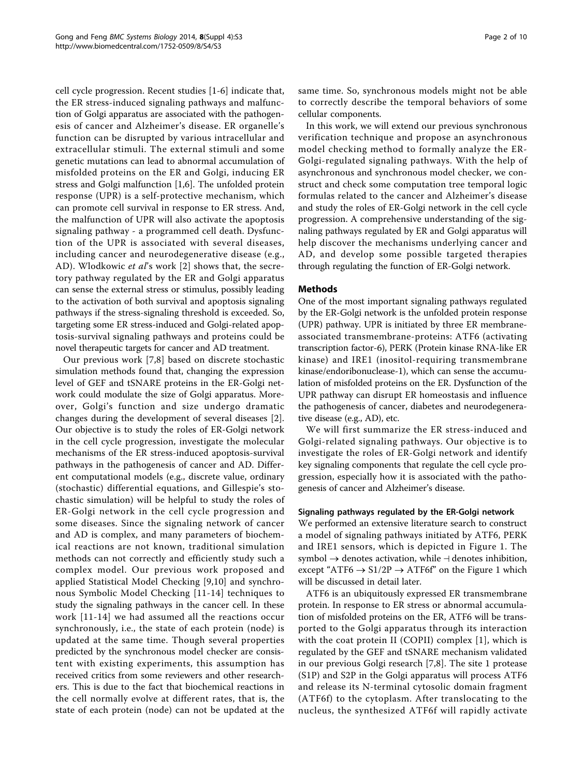cell cycle progression. Recent studies [[1-6](#page-8-0)] indicate that, the ER stress-induced signaling pathways and malfunction of Golgi apparatus are associated with the pathogenesis of cancer and Alzheimer's disease. ER organelle's function can be disrupted by various intracellular and extracellular stimuli. The external stimuli and some genetic mutations can lead to abnormal accumulation of misfolded proteins on the ER and Golgi, inducing ER stress and Golgi malfunction [[1,6\]](#page-8-0). The unfolded protein response (UPR) is a self-protective mechanism, which can promote cell survival in response to ER stress. And, the malfunction of UPR will also activate the apoptosis signaling pathway - a programmed cell death. Dysfunction of the UPR is associated with several diseases, including cancer and neurodegenerative disease (e.g., AD). Wlodkowic et al's work [[2\]](#page-8-0) shows that, the secretory pathway regulated by the ER and Golgi apparatus can sense the external stress or stimulus, possibly leading to the activation of both survival and apoptosis signaling pathways if the stress-signaling threshold is exceeded. So, targeting some ER stress-induced and Golgi-related apoptosis-survival signaling pathways and proteins could be novel therapeutic targets for cancer and AD treatment.

Our previous work [\[7](#page-8-0),[8\]](#page-8-0) based on discrete stochastic simulation methods found that, changing the expression level of GEF and tSNARE proteins in the ER-Golgi network could modulate the size of Golgi apparatus. Moreover, Golgi's function and size undergo dramatic changes during the development of several diseases [[2](#page-8-0)]. Our objective is to study the roles of ER-Golgi network in the cell cycle progression, investigate the molecular mechanisms of the ER stress-induced apoptosis-survival pathways in the pathogenesis of cancer and AD. Different computational models (e.g., discrete value, ordinary (stochastic) differential equations, and Gillespie's stochastic simulation) will be helpful to study the roles of ER-Golgi network in the cell cycle progression and some diseases. Since the signaling network of cancer and AD is complex, and many parameters of biochemical reactions are not known, traditional simulation methods can not correctly and efficiently study such a complex model. Our previous work proposed and applied Statistical Model Checking [[9,10](#page-8-0)] and synchronous Symbolic Model Checking [[11-14](#page-8-0)] techniques to study the signaling pathways in the cancer cell. In these work [\[11-14\]](#page-8-0) we had assumed all the reactions occur synchronously, i.e., the state of each protein (node) is updated at the same time. Though several properties predicted by the synchronous model checker are consistent with existing experiments, this assumption has received critics from some reviewers and other researchers. This is due to the fact that biochemical reactions in the cell normally evolve at different rates, that is, the state of each protein (node) can not be updated at the same time. So, synchronous models might not be able to correctly describe the temporal behaviors of some cellular components.

In this work, we will extend our previous synchronous verification technique and propose an asynchronous model checking method to formally analyze the ER-Golgi-regulated signaling pathways. With the help of asynchronous and synchronous model checker, we construct and check some computation tree temporal logic formulas related to the cancer and Alzheimer's disease and study the roles of ER-Golgi network in the cell cycle progression. A comprehensive understanding of the signaling pathways regulated by ER and Golgi apparatus will help discover the mechanisms underlying cancer and AD, and develop some possible targeted therapies through regulating the function of ER-Golgi network.

### Methods

One of the most important signaling pathways regulated by the ER-Golgi network is the unfolded protein response (UPR) pathway. UPR is initiated by three ER membraneassociated transmembrane-proteins: ATF6 (activating transcription factor-6), PERK (Protein kinase RNA-like ER kinase) and IRE1 (inositol-requiring transmembrane kinase/endoribonuclease-1), which can sense the accumulation of misfolded proteins on the ER. Dysfunction of the UPR pathway can disrupt ER homeostasis and influence the pathogenesis of cancer, diabetes and neurodegenerative disease (e.g., AD), etc.

We will first summarize the ER stress-induced and Golgi-related signaling pathways. Our objective is to investigate the roles of ER-Golgi network and identify key signaling components that regulate the cell cycle progression, especially how it is associated with the pathogenesis of cancer and Alzheimer's disease.

#### Signaling pathways regulated by the ER-Golgi network

We performed an extensive literature search to construct a model of signaling pathways initiated by ATF6, PERK and IRE1 sensors, which is depicted in Figure [1.](#page-2-0) The symbol  $\rightarrow$  denotes activation, while  $\neg$  denotes inhibition, except "ATF6  $\rightarrow$  S1/2P  $\rightarrow$  ATF6f" on the Figure [1](#page-2-0) which will be discussed in detail later.

ATF6 is an ubiquitously expressed ER transmembrane protein. In response to ER stress or abnormal accumulation of misfolded proteins on the ER, ATF6 will be transported to the Golgi apparatus through its interaction with the coat protein II (COPII) complex [[1](#page-8-0)], which is regulated by the GEF and tSNARE mechanism validated in our previous Golgi research [\[7](#page-8-0),[8\]](#page-8-0). The site 1 protease (S1P) and S2P in the Golgi apparatus will process ATF6 and release its N-terminal cytosolic domain fragment (ATF6f) to the cytoplasm. After translocating to the nucleus, the synthesized ATF6f will rapidly activate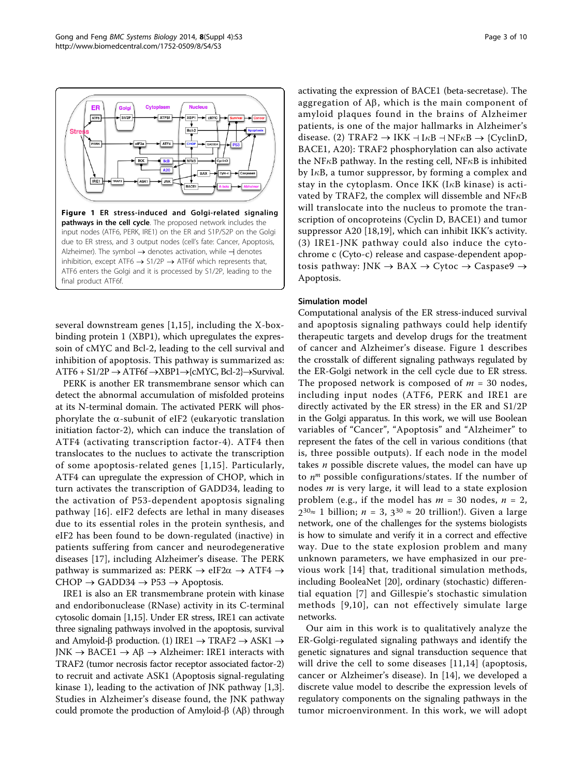<span id="page-2-0"></span>

several downstream genes [\[1,](#page-8-0)[15](#page-9-0)], including the X-boxbinding protein 1 (XBP1), which upregulates the expressoin of cMYC and Bcl-2, leading to the cell survival and inhibition of apoptosis. This pathway is summarized as:  $ATF6 + S1/2P \rightarrow ATF6f \rightarrow XBP1 \rightarrow \{cMYC, Bcl-2\} \rightarrow Survival.$ 

PERK is another ER transmembrane sensor which can detect the abnormal accumulation of misfolded proteins at its N-terminal domain. The activated PERK will phosphorylate the  $\alpha$ -subunit of eIF2 (eukaryotic translation initiation factor-2), which can induce the translation of ATF4 (activating transcription factor-4). ATF4 then translocates to the nuclues to activate the transcription of some apoptosis-related genes [\[1,](#page-8-0)[15\]](#page-9-0). Particularly, ATF4 can upregulate the expression of CHOP, which in turn activates the transcription of GADD34, leading to the activation of P53-dependent apoptosis signaling pathway [[16](#page-9-0)]. eIF2 defects are lethal in many diseases due to its essential roles in the protein synthesis, and eIF2 has been found to be down-regulated (inactive) in patients suffering from cancer and neurodegenerative diseases [[17\]](#page-9-0), including Alzheimer's disease. The PERK pathway is summarized as: PERK  $\rightarrow$  eIF2 $\alpha \rightarrow$  ATF4  $\rightarrow$  $CHOP \rightarrow GADD34 \rightarrow P53 \rightarrow Apoptosis.$ 

IRE1 is also an ER transmembrane protein with kinase and endoribonuclease (RNase) activity in its C-terminal cytosolic domain [\[1](#page-8-0)[,15\]](#page-9-0). Under ER stress, IRE1 can activate three signaling pathways involved in the apoptosis, survival and Amyloid- $\beta$  production. (1) IRE1  $\rightarrow$  TRAF2  $\rightarrow$  ASK1  $\rightarrow$ JNK  $\rightarrow$  BACE1  $\rightarrow$  A $\beta$   $\rightarrow$  Alzheimer: IRE1 interacts with TRAF2 (tumor necrosis factor receptor associated factor-2) to recruit and activate ASK1 (Apoptosis signal-regulating kinase 1), leading to the activation of JNK pathway [\[1,3](#page-8-0)]. Studies in Alzheimer's disease found, the JNK pathway could promote the production of Amyloid- $\beta$  (A $\beta$ ) through activating the expression of BACE1 (beta-secretase). The aggregation of  $\mathbf{A}\beta$ , which is the main component of amyloid plaques found in the brains of Alzheimer patients, is one of the major hallmarks in Alzheimer's disease. (2)  $TRAF2 \rightarrow IKK + I\kappa B + NF\kappa B \rightarrow \{CyclinD,$ BACE1, A20}: TRAF2 phosphorylation can also activate the NF $\kappa$ B pathway. In the resting cell, NF $\kappa$ B is inhibited by  $I<sub>\kappa</sub>B$ , a tumor suppressor, by forming a complex and stay in the cytoplasm. Once IKK (I $\kappa$ B kinase) is activated by TRAF2, the complex will dissemble and  $N F \kappa B$ will translocate into the nucleus to promote the transcription of oncoproteins (Cyclin D, BACE1) and tumor suppressor A20 [\[18,19\]](#page-9-0), which can inhibit IKK's activity. (3) IRE1-JNK pathway could also induce the cytochrome c (Cyto-c) release and caspase-dependent apoptosis pathway: JNK  $\rightarrow$  BAX  $\rightarrow$  Cytoc  $\rightarrow$  Caspase9  $\rightarrow$ Apoptosis.

#### Simulation model

Computational analysis of the ER stress-induced survival and apoptosis signaling pathways could help identify therapeutic targets and develop drugs for the treatment of cancer and Alzheimer's disease. Figure 1 describes the crosstalk of different signaling pathways regulated by the ER-Golgi network in the cell cycle due to ER stress. The proposed network is composed of  $m = 30$  nodes, including input nodes (ATF6, PERK and IRE1 are directly activated by the ER stress) in the ER and S1/2P in the Golgi apparatus. In this work, we will use Boolean variables of "Cancer", "Apoptosis" and "Alzheimer" to represent the fates of the cell in various conditions (that is, three possible outputs). If each node in the model takes *n* possible discrete values, the model can have up to  $n^m$  possible configurations/states. If the number of nodes  $m$  is very large, it will lead to a state explosion problem (e.g., if the model has  $m = 30$  nodes,  $n = 2$ , 2<sup>30</sup>≈ 1 billion; *n* = 3, 3<sup>30</sup> ≈ 20 trillion!). Given a large network, one of the challenges for the systems biologists is how to simulate and verify it in a correct and effective way. Due to the state explosion problem and many unknown parameters, we have emphasized in our previous work [[14](#page-8-0)] that, traditional simulation methods, including BooleaNet [[20\]](#page-9-0), ordinary (stochastic) differential equation [[7](#page-8-0)] and Gillespie's stochastic simulation methods [[9](#page-8-0),[10\]](#page-8-0), can not effectively simulate large networks.

Our aim in this work is to qualitatively analyze the ER-Golgi-regulated signaling pathways and identify the genetic signatures and signal transduction sequence that will drive the cell to some diseases [[11](#page-8-0),[14\]](#page-8-0) (apoptosis, cancer or Alzheimer's disease). In [[14\]](#page-8-0), we developed a discrete value model to describe the expression levels of regulatory components on the signaling pathways in the tumor microenvironment. In this work, we will adopt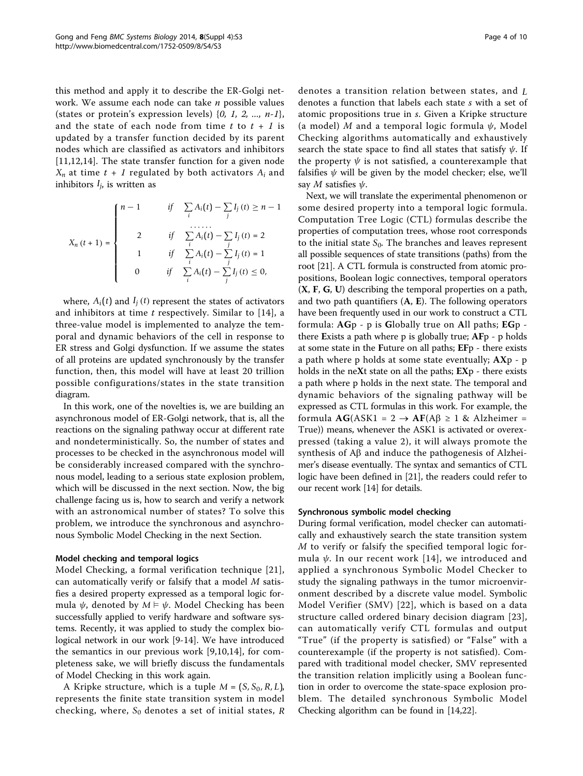this method and apply it to describe the ER-Golgi network. We assume each node can take  $n$  possible values (states or protein's expression levels)  $\{0, 1, 2, ..., n-1\}$ , and the state of each node from time t to  $t + 1$  is updated by a transfer function decided by its parent nodes which are classified as activators and inhibitors [[11,12](#page-8-0),[14\]](#page-8-0). The state transfer function for a given node  $X_n$  at time  $t+1$  regulated by both activators  $A_i$  and inhibitors  $I_i$ , is written as

$$
X_n(t+1) = \begin{cases} n-1 & \text{if } \sum_i A_i(t) - \sum_j I_j(t) \ge n-1 \\ & \dots & \dots \\ 2 & \text{if } \sum_i A_i(t) - \sum_j I_j(t) = 2 \\ 1 & \text{if } \sum_i A_i(t) - \sum_j I_j(t) = 1 \\ 0 & \text{if } \sum_i A_i(t) - \sum_j I_j(t) \le 0, \end{cases}
$$

where,  $A_i(t)$  and  $I_i(t)$  represent the states of activators and inhibitors at time  $t$  respectively. Similar to [[14\]](#page-8-0), a three-value model is implemented to analyze the temporal and dynamic behaviors of the cell in response to ER stress and Golgi dysfunction. If we assume the states of all proteins are updated synchronously by the transfer function, then, this model will have at least 20 trillion possible configurations/states in the state transition diagram.

In this work, one of the novelties is, we are building an asynchronous model of ER-Golgi network, that is, all the reactions on the signaling pathway occur at different rate and nondeterministically. So, the number of states and processes to be checked in the asynchronous model will be considerably increased compared with the synchronous model, leading to a serious state explosion problem, which will be discussed in the next section. Now, the big challenge facing us is, how to search and verify a network with an astronomical number of states? To solve this problem, we introduce the synchronous and asynchronous Symbolic Model Checking in the next Section.

#### Model checking and temporal logics

Model Checking, a formal verification technique [[21](#page-9-0)], can automatically verify or falsify that a model M satisfies a desired property expressed as a temporal logic formula  $\psi$ , denoted by  $M\vDash\psi.$  Model Checking has been successfully applied to verify hardware and software systems. Recently, it was applied to study the complex biological network in our work [\[9](#page-8-0)-[14\]](#page-8-0). We have introduced the semantics in our previous work [[9,10,14](#page-8-0)], for completeness sake, we will briefly discuss the fundamentals of Model Checking in this work again.

A Kripke structure, which is a tuple  $M = (S, S_0, R, L)$ , represents the finite state transition system in model checking, where, *S*<sup>0</sup> denotes a set of initial states, *R* denotes a transition relation between states, and *L* denotes a function that labels each state s with a set of atomic propositions true in s. Given a Kripke structure (a model) M and a temporal logic formula  $\psi$ , Model Checking algorithms automatically and exhaustively search the state space to find all states that satisfy  $\psi$ . If the property  $\psi$  is not satisfied, a counterexample that falsifies  $\psi$  will be given by the model checker; else, we'll say M satisfies  $\psi$ .

Next, we will translate the experimental phenomenon or some desired property into a temporal logic formula. Computation Tree Logic (CTL) formulas describe the properties of computation trees, whose root corresponds to the initial state  $S_0$ . The branches and leaves represent all possible sequences of state transitions (paths) from the root [\[21](#page-9-0)]. A CTL formula is constructed from atomic propositions, Boolean logic connectives, temporal operators (X, F, G, U) describing the temporal properties on a path, and two path quantifiers  $(A, E)$ . The following operators have been frequently used in our work to construct a CTL formula: AGp - p is Globally true on All paths; EGp there Exists a path where p is globally true; AFp - p holds at some state in the Future on all paths; EFp - there exists a path where p holds at some state eventually;  $AXp - p$ holds in the neXt state on all the paths;  $EXp -$  there exists a path where p holds in the next state. The temporal and dynamic behaviors of the signaling pathway will be expressed as CTL formulas in this work. For example, the formula  $AG(ASK1 = 2 \rightarrow AF(A\beta \ge 1 \&\text{ Alzheimer} =$ True)) means, whenever the ASK1 is activated or overexpressed (taking a value 2), it will always promote the synthesis of  $\mathbf{A}\beta$  and induce the pathogenesis of Alzheimer's disease eventually. The syntax and semantics of CTL logic have been defined in [\[21\]](#page-9-0), the readers could refer to our recent work [[14](#page-8-0)] for details.

#### Synchronous symbolic model checking

During formal verification, model checker can automatically and exhaustively search the state transition system M to verify or falsify the specified temporal logic formula  $\psi$ . In our recent work [[14\]](#page-8-0), we introduced and applied a synchronous Symbolic Model Checker to study the signaling pathways in the tumor microenvironment described by a discrete value model. Symbolic Model Verifier (SMV) [[22\]](#page-9-0), which is based on a data structure called ordered binary decision diagram [[23](#page-9-0)], can automatically verify CTL formulas and output "True" (if the property is satisfied) or "False" with a counterexample (if the property is not satisfied). Compared with traditional model checker, SMV represented the transition relation implicitly using a Boolean function in order to overcome the state-space explosion problem. The detailed synchronous Symbolic Model Checking algorithm can be found in [\[14](#page-8-0)[,22\]](#page-9-0).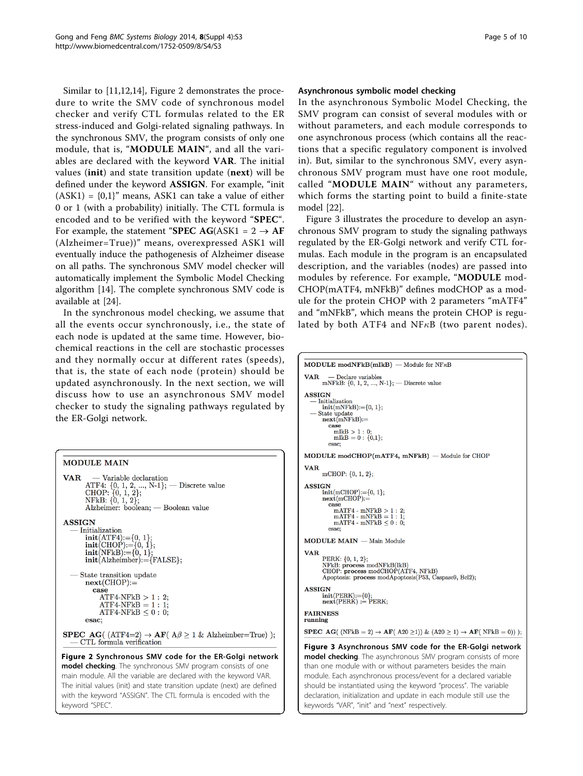<span id="page-4-0"></span>Similar to [\[11,12,14\]](#page-8-0), Figure 2 demonstrates the procedure to write the SMV code of synchronous model checker and verify CTL formulas related to the ER stress-induced and Golgi-related signaling pathways. In the synchronous SMV, the program consists of only one module, that is, "MODULE MAIN", and all the variables are declared with the keyword VAR. The initial values (init) and state transition update (next) will be defined under the keyword ASSIGN. For example, "init  $(ASK1) = {0,1}$ " means, ASK1 can take a value of either 0 or 1 (with a probability) initially. The CTL formula is encoded and to be verified with the keyword "SPEC". For example, the statement "SPEC AG(ASK1 =  $2 \rightarrow AF$ (Alzheimer=True))" means, overexpressed ASK1 will eventually induce the pathogenesis of Alzheimer disease on all paths. The synchronous SMV model checker will automatically implement the Symbolic Model Checking algorithm [\[14\]](#page-8-0). The complete synchronous SMV code is available at [[24](#page-9-0)].

In the synchronous model checking, we assume that all the events occur synchronously, i.e., the state of each node is updated at the same time. However, biochemical reactions in the cell are stochastic processes and they normally occur at different rates (speeds), that is, the state of each node (protein) should be updated asynchronously. In the next section, we will discuss how to use an asynchronous SMV model checker to study the signaling pathways regulated by the ER-Golgi network.

#### **MODULE MAIN**

keyword "SPEC".

| $VAR$ — Variable declaration<br>ATF4: $\{0, 1, 2, , N-1\};$ Discrete value<br>CHOP: $\{0, 1, 2\};$<br>NFkB: $\{0, 1, 2\};$<br>Alzheimer: boolean; — Boolean value                                                           |
|-----------------------------------------------------------------------------------------------------------------------------------------------------------------------------------------------------------------------------|
| <b>ASSIGN</b><br>$-$ Initialization<br>$init(ATF4):={0, 1};$<br>$\text{init}(\text{CHOP}) = \{0, 1\};$<br>$\text{init(NFkB)}:=\{0, 1\};$<br>$\text{init}(\text{Alzheimber}) = \{\text{FALSE}\};$                            |
| — State transition update<br>$next(CHOP):=$<br>case<br>$ATF4-NFkB > 1:2$<br>$ATF4-NFkB = 1:1;$<br>$ATF4-NFkB \leq 0:0;$<br>esac;<br><b>SPEC AG</b> ( $(ATF4=2) \rightarrow AF(A\beta \ge 1 \& \text{Alzheimber} = True)$ ); |
| — CTL formula verification<br><b>Figure 2</b> Synchronous SMV code for the ER-Golgi network<br><b>model checking</b> . The synchronous SMV program consists of one                                                          |
| main module. All the variable are declared with the keyword VAR.<br>The initial values (init) and state transition update (next) are defined<br>with the keyword "ASSIGN". The CTL formula is encoded with the              |

#### Asynchronous symbolic model checking

In the asynchronous Symbolic Model Checking, the SMV program can consist of several modules with or without parameters, and each module corresponds to one asynchronous process (which contains all the reactions that a specific regulatory component is involved in). But, similar to the synchronous SMV, every asynchronous SMV program must have one root module, called "MODULE MAIN" without any parameters, which forms the starting point to build a finite-state model [\[22](#page-9-0)].

Figure 3 illustrates the procedure to develop an asynchronous SMV program to study the signaling pathways regulated by the ER-Golgi network and verify CTL formulas. Each module in the program is an encapsulated description, and the variables (nodes) are passed into modules by reference. For example, "MODULE mod-CHOP(mATF4, mNFkB)" defines modCHOP as a module for the protein CHOP with 2 parameters "mATF4" and "mNFkB", which means the protein CHOP is regulated by both ATF4 and NF $\kappa$ B (two parent nodes).

```
MODULE modNFkB(mIkB) - Module for NF\kappaB
VAR
        - Declare variables<br>mNFkB: \{0, 1, 2, ..., N-1\}; - Discrete value
ASSIGN
      Initialization<br>init(mNFkB):={0, 1};
      \begin{array}{c}\n\text{State update} \\
\text{next(mNFkB)}\n\end{array}cas
            mIRB > 1 : 0;<br>mIRB = 0 : \{0,1\};esac;
MODULE modCHOP(mATF4, mNFkB) - Module for CHOP
       mCHOP: \{0, 1, 2\};ASSIGN
        init(mCHOP):=\{0, 1\};<br>next(mCHOP):=case
            \begin{array}{l} \text{case} \ \text{mATF4 - mNFkB} > 1:2; \ \text{mATF4 - mNFkB} = 1:1; \ \text{mATF4 - mNFkB} \leq 0:0; \end{array}esac:
MODULE MAIN - Main Module
VAR
        PERK: {0, 1, 2};
        FERR: \{0, 1, 2\};<br>
NFkB: process modNFkB(IkB)<br>
CHOP: process modCHOP(ATF4, NFkB)
        Apoptosis: process modApoptosis(P53, Caspase9, Bcl2);
ASSIGN
        \text{init}(\text{PERK}):=\{0\};<br>
\text{next}(\text{PERK}):=\text{PERK};FAIRNESS
running
\textbf{SPEC AG}(\text{ (NFkB = 2)} \rightarrow \textbf{AF}(\text{ A20 $\geq$1)}) \ \& \ (\text{A20 $\geq$ 1}) \rightarrow \textbf{AF}(\text{ NFkB = 0})\text{ )};Figure 3 Asynchronous SMV code for the ER-Golgi network
model checking. The asynchronous SMV program consists of more
than one module with or without parameters besides the main
module. Each asynchronous process/event for a declared variable
should be instantiated using the keyword "process". The variable
declaration, initialization and update in each module still use the
keywords "VAR", "init" and "next" respectively.
```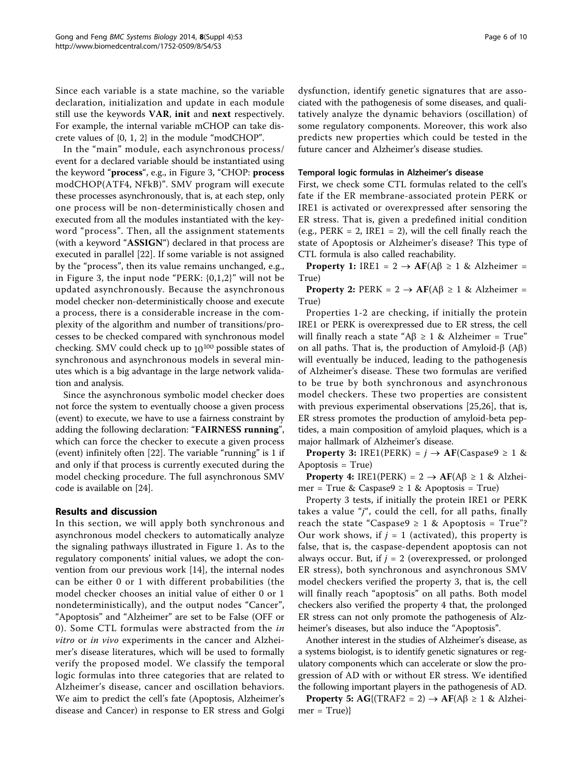Since each variable is a state machine, so the variable declaration, initialization and update in each module still use the keywords VAR, init and next respectively. For example, the internal variable mCHOP can take discrete values of {0, 1, 2} in the module "modCHOP".

In the "main" module, each asynchronous process/ event for a declared variable should be instantiated using the keyword "process", e.g., in Figure [3](#page-4-0), "CHOP: process modCHOP(ATF4, NFkB)". SMV program will execute these processes asynchronously, that is, at each step, only one process will be non-deterministically chosen and executed from all the modules instantiated with the keyword "process". Then, all the assignment statements (with a keyword "ASSIGN") declared in that process are executed in parallel [\[22](#page-9-0)]. If some variable is not assigned by the "process", then its value remains unchanged, e.g., in Figure [3,](#page-4-0) the input node "PERK: {0,1,2}" will not be updated asynchronously. Because the asynchronous model checker non-deterministically choose and execute a process, there is a considerable increase in the complexity of the algorithm and number of transitions/processes to be checked compared with synchronous model checking. SMV could check up to  $10^{100}$  possible states of synchronous and asynchronous models in several minutes which is a big advantage in the large network validation and analysis.

Since the asynchronous symbolic model checker does not force the system to eventually choose a given process (event) to execute, we have to use a fairness constraint by adding the following declaration: "FAIRNESS running", which can force the checker to execute a given process (event) infinitely often [[22\]](#page-9-0). The variable "running" is 1 if and only if that process is currently executed during the model checking procedure. The full asynchronous SMV code is available on [\[24\]](#page-9-0).

## Results and discussion

In this section, we will apply both synchronous and asynchronous model checkers to automatically analyze the signaling pathways illustrated in Figure [1.](#page-2-0) As to the regulatory components' initial values, we adopt the convention from our previous work [[14](#page-8-0)], the internal nodes can be either 0 or 1 with different probabilities (the model checker chooses an initial value of either 0 or 1 nondeterministically), and the output nodes "Cancer", "Apoptosis" and "Alzheimer" are set to be False (OFF or 0). Some CTL formulas were abstracted from the in *vitro* or *in vivo* experiments in the cancer and Alzheimer's disease literatures, which will be used to formally verify the proposed model. We classify the temporal logic formulas into three categories that are related to Alzheimer's disease, cancer and oscillation behaviors. We aim to predict the cell's fate (Apoptosis, Alzheimer's disease and Cancer) in response to ER stress and Golgi dysfunction, identify genetic signatures that are associated with the pathogenesis of some diseases, and qualitatively analyze the dynamic behaviors (oscillation) of some regulatory components. Moreover, this work also predicts new properties which could be tested in the future cancer and Alzheimer's disease studies.

#### Temporal logic formulas in Alzheimer's disease

First, we check some CTL formulas related to the cell's fate if the ER membrane-associated protein PERK or IRE1 is activated or overexpressed after sensoring the ER stress. That is, given a predefined initial condition (e.g., PERK = 2, IRE1 = 2), will the cell finally reach the state of Apoptosis or Alzheimer's disease? This type of CTL formula is also called reachability.

**Property 1:** IRE1 =  $2 \rightarrow AF(A\beta \ge 1 \&$  Alzheimer = True)

**Property 2:** PERK =  $2 \rightarrow AF(A\beta \ge 1 \&$  Alzheimer = True)

Properties 1-2 are checking, if initially the protein IRE1 or PERK is overexpressed due to ER stress, the cell will finally reach a state "Aβ ≥ 1 & Alzheimer = True" on all paths. That is, the production of Amyloid- $\beta$  (A $\beta$ ) will eventually be induced, leading to the pathogenesis of Alzheimer's disease. These two formulas are verified to be true by both synchronous and asynchronous model checkers. These two properties are consistent with previous experimental observations [[25,26\]](#page-9-0), that is, ER stress promotes the production of amyloid-beta peptides, a main composition of amyloid plaques, which is a major hallmark of Alzheimer's disease.

**Property 3:** IRE1(PERK) =  $j \rightarrow AF(Caspase9 \ge 1 \&$ Apoptosis = True)

**Property 4:** IRE1(PERK) =  $2 \rightarrow AF(A\beta \ge 1 \&$  Alzheimer = True & Caspase9  $\geq$  1 & Apoptosis = True)

Property 3 tests, if initially the protein IRE1 or PERK takes a value " $j$ ", could the cell, for all paths, finally reach the state "Caspase9  $\geq$  1 & Apoptosis = True"? Our work shows, if  $j = 1$  (activated), this property is false, that is, the caspase-dependent apoptosis can not always occur. But, if  $j = 2$  (overexpressed, or prolonged ER stress), both synchronous and asynchronous SMV model checkers verified the property 3, that is, the cell will finally reach "apoptosis" on all paths. Both model checkers also verified the property 4 that, the prolonged ER stress can not only promote the pathogenesis of Alzheimer's diseases, but also induce the "Apoptosis".

Another interest in the studies of Alzheimer's disease, as a systems biologist, is to identify genetic signatures or regulatory components which can accelerate or slow the progression of AD with or without ER stress. We identified the following important players in the pathogenesis of AD.

**Property 5: AG**{(TRAF2 = 2)  $\rightarrow$  **AF**(A $\beta$  ≥ 1 & Alzhei $mer = True)$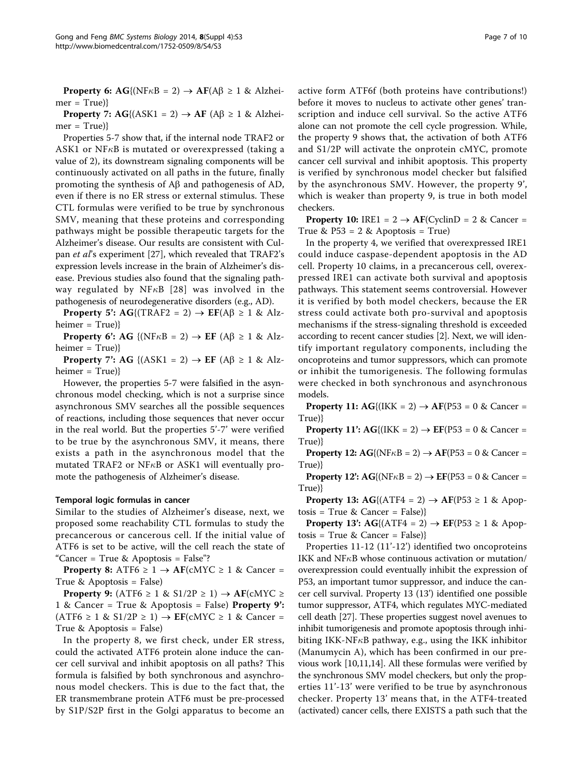**Property 6:** AG{(NF $\kappa$ B = 2)  $\rightarrow$  AF(A $\beta$  ≥ 1 & Alzheimer = True)}

**Property 7: AG**{ $(ASK1 = 2) \rightarrow AF (A\beta \ge 1 \& AIzhei$ mer = True)}

Properties 5-7 show that, if the internal node TRAF2 or ASK1 or NF $\kappa$ B is mutated or overexpressed (taking a value of 2), its downstream signaling components will be continuously activated on all paths in the future, finally promoting the synthesis of  $\mathbf{A}\mathbf{\beta}$  and pathogenesis of  $\mathbf{A}\mathbf{D}$ , even if there is no ER stress or external stimulus. These CTL formulas were verified to be true by synchronous SMV, meaning that these proteins and corresponding pathways might be possible therapeutic targets for the Alzheimer's disease. Our results are consistent with Culpan et al's experiment [[27\]](#page-9-0), which revealed that TRAF2's expression levels increase in the brain of Alzheimer's disease. Previous studies also found that the signaling pathway regulated by  $NFAB$  [[28\]](#page-9-0) was involved in the pathogenesis of neurodegenerative disorders (e.g., AD).

Property 5': AG{ $(TRAF2 = 2) \rightarrow EF(A\beta \ge 1 \& \text{Alz-}$ heimer = True)}

**Property 6':** AG {(NF $\kappa$ B = 2)  $\rightarrow$  **EF** (Aβ  $\geq$  1 & Alzheimer = True)}

Property 7': AG { $(ASK1 = 2) \rightarrow EF$   $(AB \ge 1 \& Alz$ heimer = True)}

However, the properties 5-7 were falsified in the asynchronous model checking, which is not a surprise since asynchronous SMV searches all the possible sequences of reactions, including those sequences that never occur in the real world. But the properties 5'-7' were verified to be true by the asynchronous SMV, it means, there exists a path in the asynchronous model that the mutated TRAF2 or NF $\kappa$ B or ASK1 will eventually promote the pathogenesis of Alzheimer's disease.

#### Temporal logic formulas in cancer

Similar to the studies of Alzheimer's disease, next, we proposed some reachability CTL formulas to study the precancerous or cancerous cell. If the initial value of ATF6 is set to be active, will the cell reach the state of "Cancer = True & Apoptosis = False"?

**Property 8:** ATF6  $\geq 1 \rightarrow AF$ (cMYC  $\geq 1$  & Cancer = True & Apoptosis = False)

**Property 9:** (ATF6  $\geq$  1 & S1/2P  $\geq$  1)  $\rightarrow$  AF(cMYC  $\geq$ 1 & Cancer = True & Apoptosis = False) Property 9':  $(ATF6 \geq 1 \& S1/2P \geq 1) \rightarrow EF(cMYC \geq 1 \& Cancer =$ True & Apoptosis = False)

In the property 8, we first check, under ER stress, could the activated ATF6 protein alone induce the cancer cell survival and inhibit apoptosis on all paths? This formula is falsified by both synchronous and asynchronous model checkers. This is due to the fact that, the ER transmembrane protein ATF6 must be pre-processed by S1P/S2P first in the Golgi apparatus to become an active form ATF6f (both proteins have contributions!) before it moves to nucleus to activate other genes' transcription and induce cell survival. So the active ATF6 alone can not promote the cell cycle progression. While, the property 9 shows that, the activation of both ATF6 and S1/2P will activate the onprotein cMYC, promote cancer cell survival and inhibit apoptosis. This property is verified by synchronous model checker but falsified by the asynchronous SMV. However, the property 9', which is weaker than property 9, is true in both model checkers.

**Property 10:** IRE1 =  $2 \rightarrow AF(CyclinD = 2 \&$  Cancer = True &  $P53 = 2$  & Apoptosis = True)

In the property 4, we verified that overexpressed IRE1 could induce caspase-dependent apoptosis in the AD cell. Property 10 claims, in a precancerous cell, overexpressed IRE1 can activate both survival and apoptosis pathways. This statement seems controversial. However it is verified by both model checkers, because the ER stress could activate both pro-survival and apoptosis mechanisms if the stress-signaling threshold is exceeded according to recent cancer studies [\[2](#page-8-0)]. Next, we will identify important regulatory components, including the oncoproteins and tumor suppressors, which can promote or inhibit the tumorigenesis. The following formulas were checked in both synchronous and asynchronous models.

**Property 11:** AG{ $(KK = 2) \rightarrow AF(P53 = 0 \&$  Cancer = True)}

**Property 11':** AG{(IKK = 2)  $\rightarrow$  EF(P53 = 0 & Cancer = True)}

**Property 12:** AG{ $(NF\kappa B = 2) \rightarrow AF(P53 = 0 \&$  Cancer = True)}

**Property 12':**  $AG{(NFAB = 2)} \rightarrow EF(P53 = 0 \&$  Cancer = True)}

**Property 13:** AG{ $(ATF4 = 2) \rightarrow AF(P53 \ge 1 \&$  Apoptosis = True & Cancer = False)}

**Property 13':** AG{ $(ATF4 = 2) \rightarrow EF(P53 \ge 1 \& Apop$ tosis = True & Cancer = False)}

Properties 11-12 (11'-12') identified two oncoproteins IKK and NF $\kappa$ B whose continuous activation or mutation/ overexpression could eventually inhibit the expression of P53, an important tumor suppressor, and induce the cancer cell survival. Property 13 (13') identified one possible tumor suppressor, ATF4, which regulates MYC-mediated cell death [[27](#page-9-0)]. These properties suggest novel avenues to inhibit tumorigenesis and promote apoptosis through inhibiting IKK-NF $\kappa$ B pathway, e.g., using the IKK inhibitor (Manumycin A), which has been confirmed in our previous work [\[10,11,14\]](#page-8-0). All these formulas were verified by the synchronous SMV model checkers, but only the properties 11'-13' were verified to be true by asynchronous checker. Property 13' means that, in the ATF4-treated (activated) cancer cells, there EXISTS a path such that the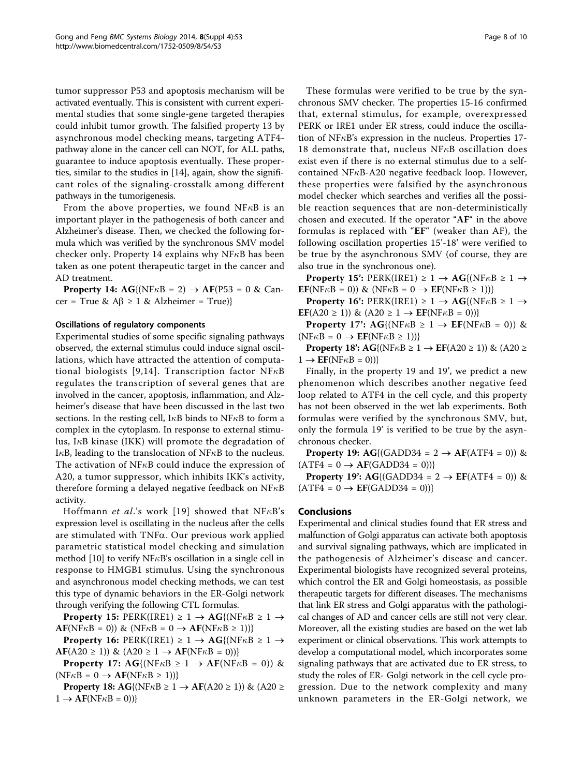tumor suppressor P53 and apoptosis mechanism will be activated eventually. This is consistent with current experimental studies that some single-gene targeted therapies could inhibit tumor growth. The falsified property 13 by asynchronous model checking means, targeting ATF4 pathway alone in the cancer cell can NOT, for ALL paths, guarantee to induce apoptosis eventually. These properties, similar to the studies in [\[14](#page-8-0)], again, show the significant roles of the signaling-crosstalk among different pathways in the tumorigenesis.

From the above properties, we found  $NFRB$  is an important player in the pathogenesis of both cancer and Alzheimer's disease. Then, we checked the following formula which was verified by the synchronous SMV model checker only. Property 14 explains why  $NFRB$  has been taken as one potent therapeutic target in the cancer and AD treatment.

**Property 14:**  $AG\{(\text{NF}\kappa B = 2) \rightarrow AF(P53 = 0 \& \text{Can-}$ cer = True &  $\mathbf{A}\mathbf{\beta} \geq 1$  & Alzheimer = True)}

### Oscillations of regulatory components

Experimental studies of some specific signaling pathways observed, the external stimulus could induce signal oscillations, which have attracted the attention of computa-tional biologists [[9,14](#page-8-0)]. Transcription factor  $N F \kappa B$ regulates the transcription of several genes that are involved in the cancer, apoptosis, inflammation, and Alzheimer's disease that have been discussed in the last two sections. In the resting cell, I $\kappa$ B binds to NF $\kappa$ B to form a complex in the cytoplasm. In response to external stimulus,  $I \kappa B$  kinase (IKK) will promote the degradation of I $\kappa$ B, leading to the translocation of NF $\kappa$ B to the nucleus. The activation of  $NFAB$  could induce the expression of A20, a tumor suppressor, which inhibits IKK's activity, therefore forming a delayed negative feedback on  $N F \kappa B$ activity.

Hoffmann et al.'s work [[19\]](#page-9-0) showed that  $N F \kappa B$ 's expression level is oscillating in the nucleus after the cells are stimulated with  $TNF\alpha$ . Our previous work applied parametric statistical model checking and simulation method [[10\]](#page-8-0) to verify NF $\kappa$ B's oscillation in a single cell in response to HMGB1 stimulus. Using the synchronous and asynchronous model checking methods, we can test this type of dynamic behaviors in the ER-Golgi network through verifying the following CTL formulas.

**Property 15:** PERK(IRE1)  $\geq 1 \rightarrow \text{AG}$ {(NF $\kappa$ B  $\geq 1 \rightarrow$  $AF(NF\kappa B = 0)$ ) &  $(NF\kappa B = 0 \rightarrow AF(NF\kappa B \ge 1))$ 

**Property 16:** PERK(IRE1)  $\geq 1 \rightarrow \text{AG}$ {(NF $\kappa$ B  $\geq 1 \rightarrow$  $AF(A20 \geq 1)$ ) &  $(A20 \geq 1 \rightarrow AF(NF\kappa B = 0))$ }

**Property 17:**  $AG\{(\text{NF}\kappa\text{B} \geq 1 \rightarrow \text{AF}(\text{NF}\kappa\text{B} = 0)) \&$  $(NF\kappa B = 0 \rightarrow AF(NF\kappa B \ge 1))$ 

**Property 18:**  $AG({NF\kappa B \ge 1 \rightarrow AF(A20 \ge 1)})$  &  $(A20 \ge$  $1 \rightarrow AF(NF\kappa B = 0))$ 

These formulas were verified to be true by the synchronous SMV checker. The properties 15-16 confirmed that, external stimulus, for example, overexpressed PERK or IRE1 under ER stress, could induce the oscillation of NF $\kappa$ B's expression in the nucleus. Properties 17-18 demonstrate that, nucleus  $NFRB$  oscillation does exist even if there is no external stimulus due to a selfcontained NF $\kappa$ B-A20 negative feedback loop. However, these properties were falsified by the asynchronous model checker which searches and verifies all the possible reaction sequences that are non-deterministically chosen and executed. If the operator "AF" in the above formulas is replaced with "EF" (weaker than AF), the following oscillation properties 15'-18' were verified to be true by the asynchronous SMV (of course, they are also true in the synchronous one).

**Property 15':** PERK(IRE1)  $\geq 1 \rightarrow \text{AG}$ {(NF $\kappa$ B  $\geq 1 \rightarrow$  $EF(NF\kappa B = 0)$ ) &  $(NF\kappa B = 0 \rightarrow EF(NF\kappa B \ge 1))$ 

**Property 16':** PERK(IRE1)  $\geq 1 \rightarrow \text{AG}$ {(NF $\kappa$ B  $\geq 1 \rightarrow$  $EF(A20 \ge 1)$ ) &  $(A20 \ge 1 \rightarrow EF(NF\kappa B = 0))$ }

Property 17':  $AG({NF\kappa B \ge 1 \rightarrow EF(NF\kappa B = 0)})$  &  $(NF\kappa B = 0 \rightarrow EF(NF\kappa B \ge 1))$ 

**Property 18':** AG{(NF $\kappa$ B  $\geq$  1  $\rightarrow$  EF(A20  $\geq$  1)) & (A20  $\geq$  $1 \rightarrow EF(NF\kappa B = 0))$ 

Finally, in the property 19 and 19', we predict a new phenomenon which describes another negative feed loop related to ATF4 in the cell cycle, and this property has not been observed in the wet lab experiments. Both formulas were verified by the synchronous SMV, but, only the formula 19' is verified to be true by the asynchronous checker.

**Property 19:** AG{ $(GADD34 = 2 \rightarrow AF(ATF4 = 0))$  &  $(ATF4 = 0 \rightarrow AF(GADD34 = 0))$ 

**Property 19':** AG{(GADD34 =  $2 \rightarrow EF(ATF4 = 0)$ ) &  $(ATF4 = 0 \rightarrow EF(GADD34 = 0))$ 

#### Conclusions

Experimental and clinical studies found that ER stress and malfunction of Golgi apparatus can activate both apoptosis and survival signaling pathways, which are implicated in the pathogenesis of Alzheimer's disease and cancer. Experimental biologists have recognized several proteins, which control the ER and Golgi homeostasis, as possible therapeutic targets for different diseases. The mechanisms that link ER stress and Golgi apparatus with the pathological changes of AD and cancer cells are still not very clear. Moreover, all the existing studies are based on the wet lab experiment or clinical observations. This work attempts to develop a computational model, which incorporates some signaling pathways that are activated due to ER stress, to study the roles of ER- Golgi network in the cell cycle progression. Due to the network complexity and many unknown parameters in the ER-Golgi network, we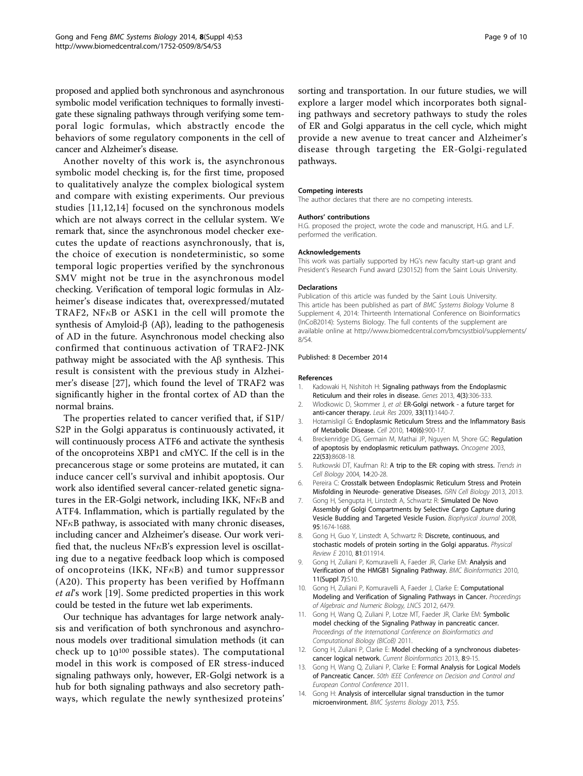<span id="page-8-0"></span>proposed and applied both synchronous and asynchronous symbolic model verification techniques to formally investigate these signaling pathways through verifying some temporal logic formulas, which abstractly encode the behaviors of some regulatory components in the cell of cancer and Alzheimer's disease.

Another novelty of this work is, the asynchronous symbolic model checking is, for the first time, proposed to qualitatively analyze the complex biological system and compare with existing experiments. Our previous studies [11,12,14] focused on the synchronous models which are not always correct in the cellular system. We remark that, since the asynchronous model checker executes the update of reactions asynchronously, that is, the choice of execution is nondeterministic, so some temporal logic properties verified by the synchronous SMV might not be true in the asynchronous model checking. Verification of temporal logic formulas in Alzheimer's disease indicates that, overexpressed/mutated TRAF2,  $NFAB$  or ASK1 in the cell will promote the synthesis of Amyloid- $\beta$  (A $\beta$ ), leading to the pathogenesis of AD in the future. Asynchronous model checking also confirmed that continuous activation of TRAF2-JNK pathway might be associated with the  $\mathbf{A}\mathbf{\beta}$  synthesis. This result is consistent with the previous study in Alzheimer's disease [[27\]](#page-9-0), which found the level of TRAF2 was significantly higher in the frontal cortex of AD than the normal brains.

The properties related to cancer verified that, if S1P/ S2P in the Golgi apparatus is continuously activated, it will continuously process ATF6 and activate the synthesis of the oncoproteins XBP1 and cMYC. If the cell is in the precancerous stage or some proteins are mutated, it can induce cancer cell's survival and inhibit apoptosis. Our work also identified several cancer-related genetic signatures in the ER-Golgi network, including IKK, NF $\kappa$ B and ATF4. Inflammation, which is partially regulated by the  $NFAB$  pathway, is associated with many chronic diseases, including cancer and Alzheimer's disease. Our work verified that, the nucleus  $N F \kappa B' s$  expression level is oscillating due to a negative feedback loop which is composed of oncoproteins (IKK,  $N F \kappa B$ ) and tumor suppressor (A20). This property has been verified by Hoffmann et al's work [[19\]](#page-9-0). Some predicted properties in this work could be tested in the future wet lab experiments.

Our technique has advantages for large network analysis and verification of both synchronous and asynchronous models over traditional simulation methods (it can check up to  $10^{100}$  possible states). The computational model in this work is composed of ER stress-induced signaling pathways only, however, ER-Golgi network is a hub for both signaling pathways and also secretory pathways, which regulate the newly synthesized proteins' sorting and transportation. In our future studies, we will explore a larger model which incorporates both signaling pathways and secretory pathways to study the roles of ER and Golgi apparatus in the cell cycle, which might provide a new avenue to treat cancer and Alzheimer's disease through targeting the ER-Golgi-regulated pathways.

#### Competing interests

The author declares that there are no competing interests.

#### Authors' contributions

H.G. proposed the project, wrote the code and manuscript, H.G. and L.F. performed the verification.

#### Acknowledgements

This work was partially supported by HG's new faculty start-up grant and President's Research Fund award (230152) from the Saint Louis University.

#### Declarations

Publication of this article was funded by the Saint Louis University. This article has been published as part of BMC Systems Biology Volume 8 Supplement 4, 2014: Thirteenth International Conference on Bioinformatics (InCoB2014): Systems Biology. The full contents of the supplement are available online at [http://www.biomedcentral.com/bmcsystbiol/supplements/](http://www.biomedcentral.com/bmcsystbiol/supplements/8/S4) [8/S4.](http://www.biomedcentral.com/bmcsystbiol/supplements/8/S4)

#### Published: 8 December 2014

#### References

- 1. Kadowaki H, Nishitoh H: Signaling pathways from the Endoplasmic Reticulum and their roles in disease. Genes 2013, 4(3):306-333.
- 2. Wlodkowic D, Skommer J, et al: ER-Golgi network a future target for anti-cancer therapy. Leuk Res 2009, 33(11):1440-7.
- 3. Hotamisligil G: Endoplasmic Reticulum Stress and the Inflammatory Basis of Metabolic Disease. Cell 2010, 140(6):900-17.
- 4. Breckenridge DG, Germain M, Mathai JP, Nguyen M, Shore GC: Regulation of apoptosis by endoplasmic reticulum pathways. Oncogene 2003, 22(53):8608-18.
- 5. Rutkowski DT, Kaufman RJ: A trip to the ER: coping with stress. Trends in Cell Biology 2004, 14:20-28.
- 6. Pereira C: Crosstalk between Endoplasmic Reticulum Stress and Protein Misfolding in Neurode- generative Diseases. ISRN Cell Biology 2013, 2013.
- 7. Gong H, Sengupta H, Linstedt A, Schwartz R: Simulated De Novo Assembly of Golgi Compartments by Selective Cargo Capture during Vesicle Budding and Targeted Vesicle Fusion. Biophysical Journal 2008, 95:1674-1688.
- 8. Gong H, Guo Y, Linstedt A, Schwartz R: Discrete, continuous, and stochastic models of protein sorting in the Golgi apparatus. Physical Review E 2010, 81:011914.
- 9. Gong H, Zuliani P, Komuravelli A, Faeder JR, Clarke EM: Analysis and Verification of the HMGB1 Signaling Pathway. BMC Bioinformatics 2010, 11(Suppl 7):S10.
- 10. Gong H, Zuliani P, Komuravelli A, Faeder J, Clarke E: Computational Modeling and Verification of Signaling Pathways in Cancer. Proceedings of Algebraic and Numeric Biology, LNCS 2012, 6479.
- 11. Gong H, Wang Q, Zuliani P, Lotze MT, Faeder JR, Clarke EM: Symbolic model checking of the Signaling Pathway in pancreatic cancer. Proceedings of the International Conference on Bioinformatics and Computational Biology (BICoB) 2011.
- 12. Gong H, Zuliani P, Clarke E: Model checking of a synchronous diabetescancer logical network. Current Bioinformatics 2013, 8:9-15.
- 13. Gong H, Wang Q, Zuliani P, Clarke E: Formal Analysis for Logical Models of Pancreatic Cancer. 50th IEEE Conference on Decision and Control and European Control Conference 2011.
- 14. Gong H: Analysis of intercellular signal transduction in the tumor microenvironment. BMC Systems Biology 2013, 7:S5.